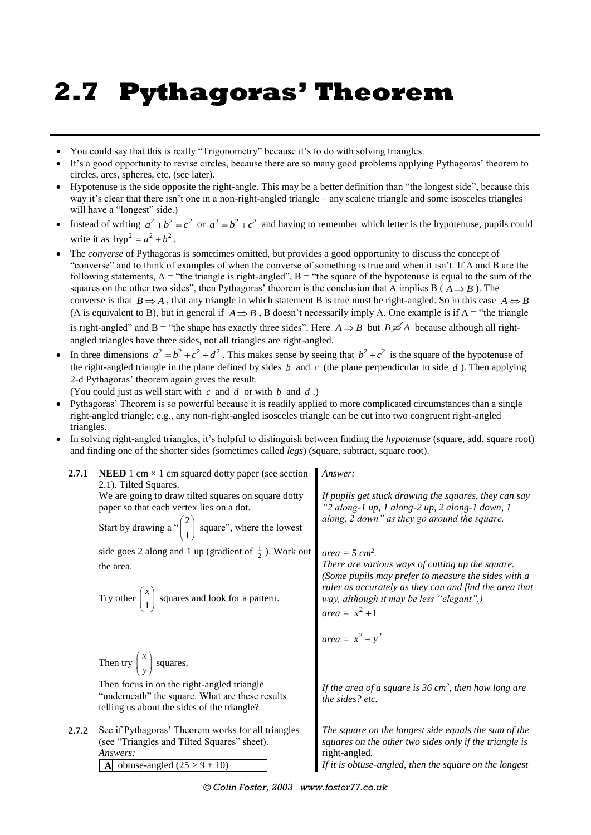# **2.7 Pythagoras' Theorem**

- You could say that this is really "Trigonometry" because it's to do with solving triangles.
- It's a good opportunity to revise circles, because there are so many good problems applying Pythagoras' theorem to circles, arcs, spheres, etc. (see later).
- Hypotenuse is the side opposite the right-angle. This may be a better definition than "the longest side", because this way it's clear that there isn't one in a non-right-angled triangle – any scalene triangle and some isosceles triangles will have a "longest" side.)
- Instead of writing  $a^2 + b^2 = c^2$  or  $a^2 = b^2 + c^2$  and having to remember which letter is the hypotenuse, pupils could write it as  $hyp^2 = a^2 + b^2$ .
- The *converse* of Pythagoras is sometimes omitted, but provides a good opportunity to discuss the concept of "converse" and to think of examples of when the converse of something is true and when it isn't. If A and B are the following statements,  $A =$  "the triangle is right-angled",  $B =$  "the square of the hypotenuse is equal to the sum of the squares on the other two sides", then Pythagoras' theorem is the conclusion that A implies  $B(A \Rightarrow B)$ . The converse is that  $B \Rightarrow A$ , that any triangle in which statement B is true must be right-angled. So in this case  $A \Leftrightarrow B$ (A is equivalent to B), but in general if  $A \Rightarrow B$ , B doesn't necessarily imply A. One example is if  $A =$  "the triangle" is right-angled" and B = "the shape has exactly three sides". Here  $A \Rightarrow B$  but  $B \not\Rightarrow A$  because although all rightangled triangles have three sides, not all triangles are right-angled.
- In three dimensions  $a^2 = b^2 + c^2 + d^2$ . This makes sense by seeing that  $b^2 + c^2$  is the square of the hypotenuse of the right-angled triangle in the plane defined by sides  $b$  and  $c$  (the plane perpendicular to side  $d$ ). Then applying 2-d Pythagoras' theorem again gives the result.

(You could just as well start with  $c$  and  $d$  or with  $b$  and  $d$ .)

- Pythagoras' Theorem is so powerful because it is readily applied to more complicated circumstances than a single right-angled triangle; e.g., any non-right-angled isosceles triangle can be cut into two congruent right-angled triangles.
- In solving right-angled triangles, it's helpful to distinguish between finding the *hypotenuse* (square, add, square root) and finding one of the shorter sides (sometimes called *legs*) (square, subtract, square root).

| 2.7.1 | <b>NEED</b> 1 cm $\times$ 1 cm squared dotty paper (see section<br>2.1). Tilted Squares.                                                                         | Answer:                                                                                                                                                                                                                                                 |
|-------|------------------------------------------------------------------------------------------------------------------------------------------------------------------|---------------------------------------------------------------------------------------------------------------------------------------------------------------------------------------------------------------------------------------------------------|
|       | We are going to draw tilted squares on square dotty<br>paper so that each vertex lies on a dot.<br>Start by drawing a " $\binom{2}{1}$ square", where the lowest | If pupils get stuck drawing the squares, they can say<br>"2 along-1 up, 1 along-2 up, 2 along-1 down, 1<br>along, 2 down" as they go around the square.                                                                                                 |
|       | side goes 2 along and 1 up (gradient of $\frac{1}{2}$ ). Work out                                                                                                | area = $5 \, \text{cm}^2$ .                                                                                                                                                                                                                             |
|       | the area.<br>Try other $\begin{pmatrix} x \\ 1 \end{pmatrix}$ squares and look for a pattern.                                                                    | There are various ways of cutting up the square.<br>(Some pupils may prefer to measure the sides with a<br>ruler as accurately as they can and find the area that<br>way, although it may be less "elegant".)<br>area = $x^2 + 1$<br>area = $x^2 + y^2$ |
|       |                                                                                                                                                                  |                                                                                                                                                                                                                                                         |
|       | Then try $\begin{pmatrix} x \\ y \end{pmatrix}$ squares.<br>Then focus in on the right-angled triangle                                                           | If the area of a square is $36 \text{ cm}^2$ , then how long are                                                                                                                                                                                        |
|       | "underneath" the square. What are these results<br>telling us about the sides of the triangle?                                                                   | the sides? etc.                                                                                                                                                                                                                                         |
| 2.7.2 | See if Pythagoras' Theorem works for all triangles                                                                                                               | The square on the longest side equals the sum of the                                                                                                                                                                                                    |
|       | (see "Triangles and Tilted Squares" sheet).<br>Answers:                                                                                                          | squares on the other two sides only if the triangle is<br>right-angled.                                                                                                                                                                                 |
|       | obtuse-angled $(25 > 9 + 10)$                                                                                                                                    | If it is obtuse-angled, then the square on the longest                                                                                                                                                                                                  |
|       |                                                                                                                                                                  |                                                                                                                                                                                                                                                         |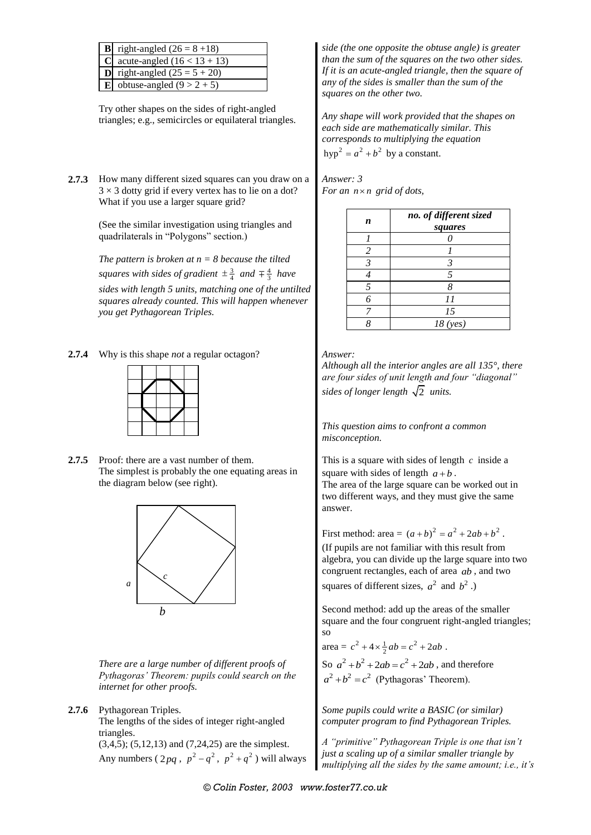| <b>B</b> right-angled $(26 = 8 + 18)$      |
|--------------------------------------------|
| $\overline{C}$ acute-angled (16 < 13 + 13) |
| <b>D</b> right-angled $(25 = 5 + 20)$      |
| <b>E</b> obtuse-angled $(9 \ge 2 + 5)$     |

Try other shapes on the sides of right-angled triangles; e.g., semicircles or equilateral triangles.

**2.7.3** How many different sized squares can you draw on a  $3 \times 3$  dotty grid if every vertex has to lie on a dot? What if you use a larger square grid?

> (See the similar investigation using triangles and quadrilaterals in "Polygons" section.)

*The pattern is broken at n = 8 because the tilted squares with sides of gradient*  $\pm \frac{3}{4}$  *and*  $\mp \frac{4}{3}$  *have* 

*sides with length 5 units, matching one of the untilted squares already counted. This will happen whenever you get Pythagorean Triples.*

**2.7.4** Why is this shape *not* a regular octagon? *Answer:*



**2.7.5** Proof: there are a vast number of them. The simplest is probably the one equating areas in the diagram below (see right).



*There are a large number of different proofs of Pythagoras' Theorem: pupils could search on the internet for other proofs.*

**2.7.6** Pythagorean Triples.

The lengths of the sides of integer right-angled triangles. (3,4,5); (5,12,13) and (7,24,25) are the simplest.

Any numbers  $(2pq, p^2-q^2, p^2+q^2)$  will always

*side (the one opposite the obtuse angle) is greater than the sum of the squares on the two other sides. If it is an acute-angled triangle, then the square of any of the sides is smaller than the sum of the squares on the other two.*

*Any shape will work provided that the shapes on each side are mathematically similar. This corresponds to multiplying the equation*   $hyp<sup>2</sup> = a<sup>2</sup> + b<sup>2</sup>$  by a constant.

*Answer: 3 For an*  $n \times n$  grid of dots,

| n                       | no. of different sized<br>squares |
|-------------------------|-----------------------------------|
|                         |                                   |
| 2                       |                                   |
| $\overline{\mathbf{3}}$ |                                   |
|                         | 5                                 |
|                         | 8                                 |
| 6                       | 11                                |
|                         | 15                                |
|                         | $18$ (yes)                        |

*Although all the interior angles are all 135°, there are four sides of unit length and four "diagonal" sides of longer length*  2 *units.*

*This question aims to confront a common misconception.*

This is a square with sides of length  $c$  inside a square with sides of length  $a + b$ . The area of the large square can be worked out in two different ways, and they must give the same answer.

First method: area =  $(a+b)^2 = a^2 + 2ab + b^2$ .

(If pupils are not familiar with this result from algebra, you can divide up the large square into two congruent rectangles, each of area *ab* , and two squares of different sizes,  $a^2$  and  $b^2$ .)

Second method: add up the areas of the smaller square and the four congruent right-angled triangles; so

area = 
$$
c^2 + 4 \times \frac{1}{2} ab = c^2 + 2ab
$$
.

So  $a^2 + b^2 + 2ab = c^2 + 2ab$ , and therefore  $a^2 + b^2 = c^2$  (Pythagoras' Theorem).

*Some pupils could write a BASIC (or similar) computer program to find Pythagorean Triples.*

*A "primitive" Pythagorean Triple is one that isn't just a scaling up of a similar smaller triangle by multiplying all the sides by the same amount; i.e., it's*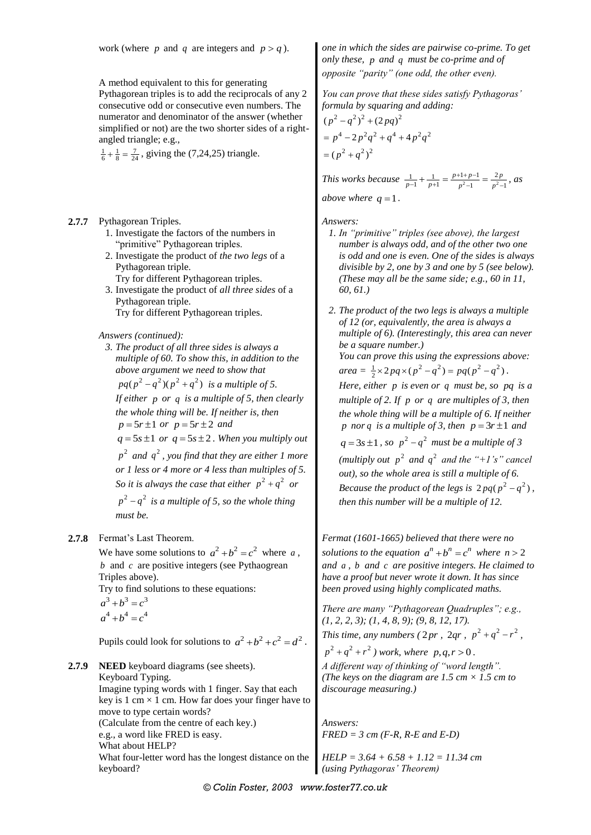work (where  $p$  and  $q$  are integers and  $p > q$ ).

A method equivalent to this for generating

Pythagorean triples is to add the reciprocals of any 2 consecutive odd or consecutive even numbers. The numerator and denominator of the answer (whether simplified or not) are the two shorter sides of a rightangled triangle; e.g.,

 $\frac{1}{6} + \frac{1}{8} = \frac{7}{24}$ , giving the (7,24,25) triangle.

- **2.7.7** Pythagorean Triples.
	- 1. Investigate the factors of the numbers in "primitive" Pythagorean triples.
	- 2. Investigate the product of *the two legs* of a Pythagorean triple.
	- Try for different Pythagorean triples. 3. Investigate the product of *all three sides* of a Pythagorean triple. Try for different Pythagorean triples.

*Answers (continued):*

*3. The product of all three sides is always a multiple of 60. To show this, in addition to the above argument we need to show that* 

 $pq(p^2 - q^2)(p^2 + q^2)$  is a multiple of 5.

*If either p or q is a multiple of 5, then clearly the whole thing will be. If neither is, then*   $p = 5r \pm 1$  *or*  $p = 5r \pm 2$  *and* 

 $q = 5s \pm 1$  *or*  $q = 5s \pm 2$ . When you multiply out

2 *p and*  2 *q , you find that they are either 1 more or 1 less or 4 more or 4 less than multiples of 5. So it is always the case that either*  $p^2 + q^2$  *or* 

 $p^2 - q^2$  is a multiple of 5, so the whole thing *must be.*

### **2.7.8** Fermat's Last Theorem.

We have some solutions to  $a^2 + b^2 = c^2$  where a, *b* and *c* are positive integers (see Pythaogrean Triples above). Try to find solutions to these equations:

 $a^3 + b^3 = c^3$  $a^4 + b^4 = c^4$ 

Pupils could look for solutions to  $a^2 + b^2 + c^2 = d^2$ .

**2.7.9 NEED** keyboard diagrams (see sheets). Keyboard Typing. Imagine typing words with 1 finger. Say that each key is  $1 \text{ cm} \times 1 \text{ cm}$ . How far does your finger have to move to type certain words? (Calculate from the centre of each key.) e.g., a word like FRED is easy. What about HELP? What four-letter word has the longest distance on the keyboard?

*one in which the sides are pairwise co-prime. To get only these, p and q must be co-prime and of opposite "parity" (one odd, the other even).*

*You can prove that these sides satisfy Pythagoras' formula by squaring and adding:*

$$
(p2 - q2)2 + (2pq)2
$$
  
= p<sup>4</sup> - 2p<sup>2</sup>q<sup>2</sup> + q<sup>4</sup> + 4p<sup>2</sup>q<sup>2</sup>  
= (p<sup>2</sup> + q<sup>2</sup>)<sup>2</sup>

*This works because*  $\frac{1}{p-1} + \frac{1}{p+1} = \frac{p+1+p-1}{p^2-1} = \frac{2}{p^2}$  $\frac{1}{p+1}$  +  $\frac{1}{p+1}$  =  $\frac{1}{p^2-1}$  =  $\frac{1}{p^2-1}$  $p+1+p-1$  \_ 2p  $\frac{p}{p-1} + \frac{p}{p+1} = \frac{p}{p^2-1} = \frac{p}{p}$  $+1+p-1$  $\frac{1}{p-1} + \frac{1}{p+1} = \frac{p+1+p-1}{p^2-1} = \frac{2p}{p^2-1}, \ a.s$ *above where*  $q = 1$ *.* 

*Answers:*

*1. In "primitive" triples (see above), the largest number is always odd, and of the other two one is odd and one is even. One of the sides is always divisible by 2, one by 3 and one by 5 (see below). (These may all be the same side; e.g., 60 in 11, 60, 61.)*

*2. The product of the two legs is always a multiple of 12 (or, equivalently, the area is always a multiple of 6). (Interestingly, this area can never be a square number.) You can prove this using the expressions above: area* =  $\frac{1}{2} \times 2pq \times (p^2 - q^2) = pq(p^2 - q^2)$ . *Here, either p is even or q must be, so pq is a multiple of 2. If p or q are multiples of 3, then the whole thing will be a multiple of 6. If neither p nor q is a multiple of 3, then*  $p = 3r \pm 1$  *and*  $q = 3s \pm 1$ , so  $p^2 - q^2$  must be a multiple of 3 (multiply out  $p^2$  and  $q^2$  and the "+1's" cancel *out), so the whole area is still a multiple of 6. Because the product of the legs is*  $2pq(p^2-q^2)$ , *then this number will be a multiple of 12.*

*Fermat (1601-1665) believed that there were no solutions to the equation*  $a^n + b^n = c^n$  where  $n > 2$ *and a , b and c are positive integers. He claimed to have a proof but never wrote it down. It has since been proved using highly complicated maths.*

*There are many "Pythagorean Quadruples"; e.g., (1, 2, 2, 3); (1, 4, 8, 9); (9, 8, 12, 17).*

*This time, any numbers (*  $2pr$  *,*  $2qr$  *,*  $p^2 + q^2 - r^2$  *,* 

 $p^2 + q^2 + r^2$ ) work, where  $p, q, r > 0$ . *A different way of thinking of "word length". (The keys on the diagram are 1.5 cm × 1.5 cm to discourage measuring.)*

*Answers: FRED = 3 cm (F-R, R-E and E-D)*

*HELP = 3.64 + 6.58 + 1.12 = 11.34 cm (using Pythagoras' Theorem)*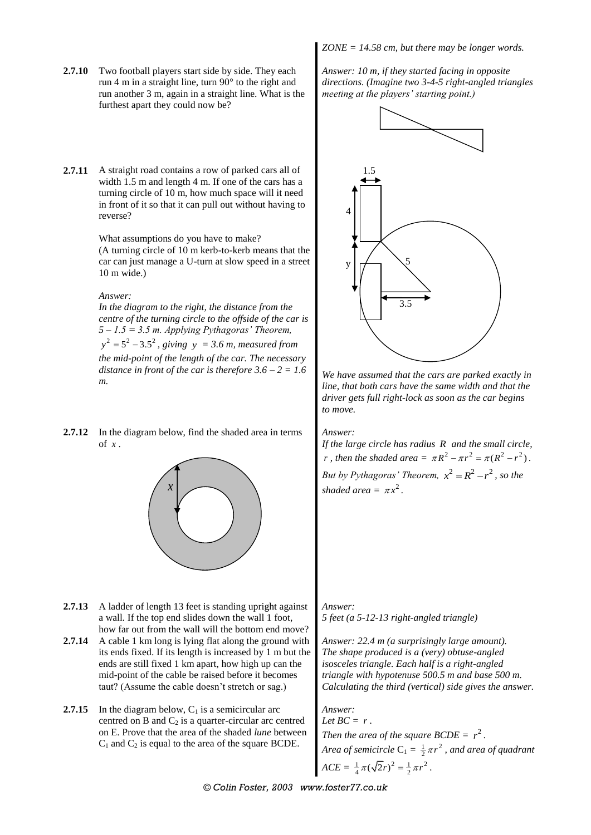- **2.7.10** Two football players start side by side. They each run 4 m in a straight line, turn 90° to the right and run another 3 m, again in a straight line. What is the furthest apart they could now be?
- **2.7.11** A straight road contains a row of parked cars all of width 1.5 m and length 4 m. If one of the cars has a turning circle of 10 m, how much space will it need in front of it so that it can pull out without having to reverse?

What assumptions do you have to make? (A turning circle of 10 m kerb-to-kerb means that the car can just manage a U-turn at slow speed in a street 10 m wide.)

#### *Answer:*

*In the diagram to the right, the distance from the centre of the turning circle to the offside of the car is 5 – 1.5 = 3.5 m. Applying Pythagoras' Theorem,*   $y^2 = 5^2 - 3.5^2$ , giving  $y = 3.6$  m, measured from *the mid-point of the length of the car. The necessary distance in front of the car is therefore*  $3.6 - 2 = 1.6$ *m.*

**2.7.12** In the diagram below, find the shaded area in terms of *x* .



- **2.7.13** A ladder of length 13 feet is standing upright against a wall. If the top end slides down the wall 1 foot, how far out from the wall will the bottom end move?
- **2.7.14** A cable 1 km long is lying flat along the ground with its ends fixed. If its length is increased by 1 m but the ends are still fixed 1 km apart, how high up can the mid-point of the cable be raised before it becomes taut? (Assume the cable doesn't stretch or sag.)
- **2.7.15** In the diagram below,  $C_1$  is a semicircular arc centred on B and  $C_2$  is a quarter-circular arc centred on E. Prove that the area of the shaded *lune* between  $C_1$  and  $C_2$  is equal to the area of the square BCDE.

*Answer: 10 m, if they started facing in opposite directions. (Imagine two 3-4-5 right-angled triangles meeting at the players' starting point.)*



*We have assumed that the cars are parked exactly in line, that both cars have the same width and that the driver gets full right-lock as soon as the car begins to move.*

*Answer: If the large circle has radius R and the small circle, r*, then the shaded area =  $\pi R^2 - \pi r^2 = \pi (R^2 - r^2)$ . *But by Pythagoras' Theorem,*  $x^2 = R^2 - r^2$ , so the *shaded area* =  $\pi x^2$ .

*Answer: 5 feet (a 5-12-13 right-angled triangle)*

*Answer: 22.4 m (a surprisingly large amount). The shape produced is a (very) obtuse-angled isosceles triangle. Each half is a right-angled triangle with hypotenuse 500.5 m and base 500 m. Calculating the third (vertical) side gives the answer.*

*Answer:* Let  $BC = r$ . *Then the area of the square BCDE* =  $r^2$ . Area of semicircle  $C_1 = \frac{1}{2} \pi r^2$ , and area of quadrant  $ACE = \frac{1}{4}\pi(\sqrt{2}r)^2 = \frac{1}{2}\pi r^2$ .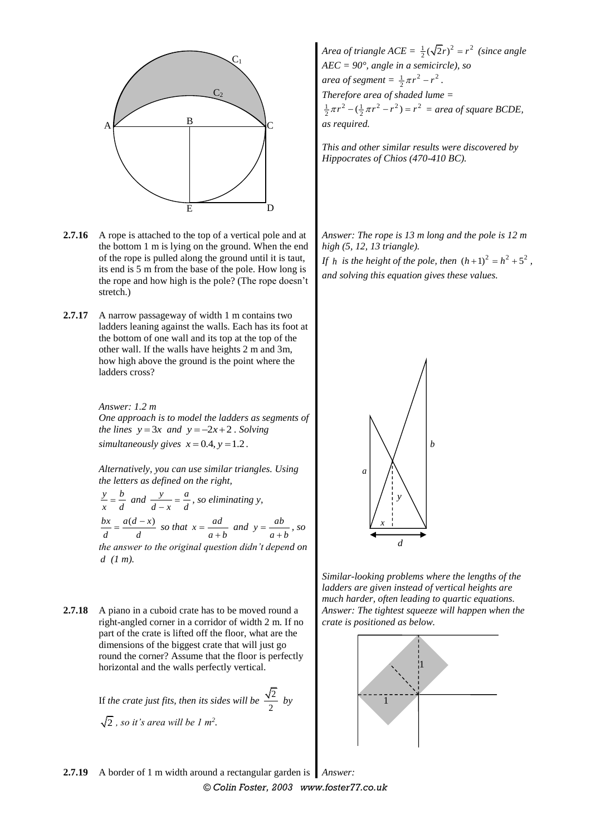

- **2.7.16** A rope is attached to the top of a vertical pole and at the bottom 1 m is lying on the ground. When the end of the rope is pulled along the ground until it is taut, its end is 5 m from the base of the pole. How long is the rope and how high is the pole? (The rope doesn't stretch.)
- **2.7.17** A narrow passageway of width 1 m contains two ladders leaning against the walls. Each has its foot at the bottom of one wall and its top at the top of the other wall. If the walls have heights 2 m and 3m, how high above the ground is the point where the ladders cross?

*Answer: 1.2 m One approach is to model the ladders as segments of the lines*  $y = 3x$  *and*  $y = -2x + 2$ *. Solving simultaneously gives*  $x = 0.4$ ,  $y = 1.2$ .

*Alternatively, you can use similar triangles. Using the letters as defined on the right,*

*y b*  $\frac{y}{x} = \frac{b}{d}$  and  $\frac{y}{d-x} = \frac{a}{d}$  $\frac{y}{d-x} = \frac{a}{d}$ , so eliminating y, *bx*  $a(d-x)$ *d d*  $=\frac{a(d-x)}{d}$  so that  $x = \frac{ad}{a+b}$  and  $y = \frac{ab}{a+b}$ , so *the answer to the original question didn't depend on* 

*d (1 m).*

**2.7.18** A piano in a cuboid crate has to be moved round a right-angled corner in a corridor of width 2 m. If no part of the crate is lifted off the floor, what are the dimensions of the biggest crate that will just go round the corner? Assume that the floor is perfectly horizontal and the walls perfectly vertical.

> If the crate just fits, then its sides will be  $\frac{\sqrt{2}}{2}$  $\frac{y}{2}$  by 2 *, so it's area will be 1 m<sup>2</sup> .*

*Area of triangle ACE* =  $\frac{1}{2}(\sqrt{2}r)^2 = r^2$  *(since angle) AEC = 90°, angle in a semicircle), so area of segment* =  $\frac{1}{2} \pi r^2 - r^2$ . *Therefore area of shaded lume =*   $\frac{1}{2}\pi r^2 - (\frac{1}{2}\pi r^2 - r^2) = r^2$  = area of square BCDE, *as required.*

*This and other similar results were discovered by Hippocrates of Chios (470-410 BC).*

*Answer: The rope is 13 m long and the pole is 12 m high (5, 12, 13 triangle).*

*If h* is the height of the pole, then  $(h+1)^2 = h^2 + 5^2$ , *and solving this equation gives these values.*



*Similar-looking problems where the lengths of the ladders are given instead of vertical heights are much harder, often leading to quartic equations. Answer: The tightest squeeze will happen when the crate is positioned as below.*

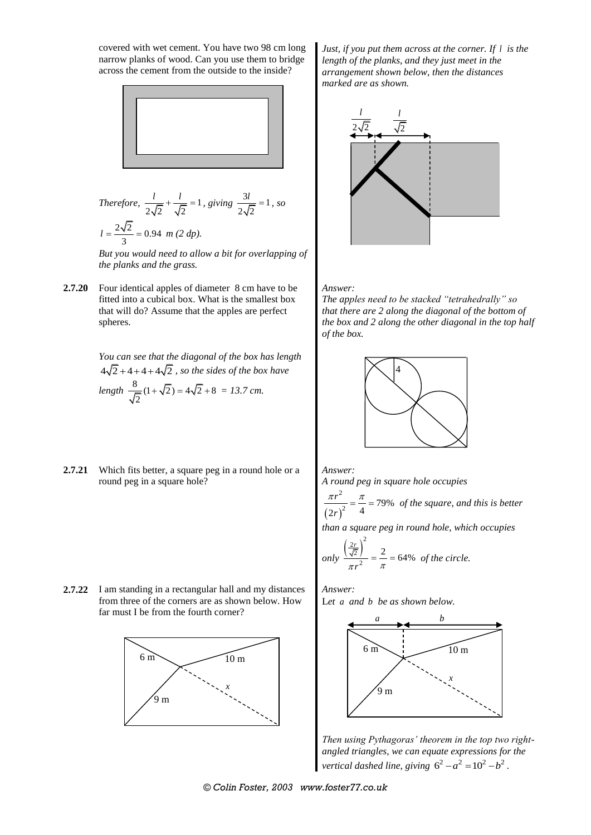covered with wet cement. You have two 98 cm long narrow planks of wood. Can you use them to bridge across the cement from the outside to the inside?



Therefore, 
$$
\frac{l}{2\sqrt{2}} + \frac{l}{\sqrt{2}} = 1
$$
, giving  $\frac{3l}{2\sqrt{2}} = 1$ , so  
 $l = \frac{2\sqrt{2}}{3} = 0.94 \text{ m } (2 \text{ dp}).$ 

*But you would need to allow a bit for overlapping of the planks and the grass.*

**2.7.20** Four identical apples of diameter 8 cm have to be fitted into a cubical box. What is the smallest box that will do? Assume that the apples are perfect spheres.

> *You can see that the diagonal of the box has length*   $4\sqrt{2} + 4 + 4 + 4\sqrt{2}$ , so the sides of the box have *length*  $\frac{8}{\sqrt{2}}(1+\sqrt{2}) = 4\sqrt{2} + 8$ 2  $+\sqrt{2}$ ) =  $4\sqrt{2}$  + 8 = 13.7 cm.

**2.7.21** Which fits better, a square peg in a round hole or a round peg in a square hole?

*Just, if you put them across at the corner. If l is the length of the planks, and they just meet in the arrangement shown below, then the distances marked are as shown.*



#### *Answer:*

*The apples need to be stacked "tetrahedrally" so that there are 2 along the diagonal of the bottom of the box and 2 along the other diagonal in the top half of the box.*



*Answer:*

*A round peg in square hole occupies* 

 $(2r)$ 2  $\frac{1}{2} = \frac{n}{4} = 79\%$  $(2r)^2$  4 *r r*  $\frac{\pi r^2}{r^2} = \frac{\pi}{r} = 79\%$  of the square, and this is better

*than a square peg in round hole, which occupies* 

only 
$$
\frac{\left(\frac{2r}{\sqrt{2}}\right)^2}{\pi r^2} = \frac{2}{\pi} = 64\%
$$
 of the circle.

**2.7.22** I am standing in a rectangular hall and my distances from three of the corners are as shown below. How far must I be from the fourth corner?



*Answer:* Let *a* and *b* be as shown below.



*Then using Pythagoras' theorem in the top two rightangled triangles, we can equate expressions for the vertical dashed line, giving*  $6^2 - a^2 = 10^2 - b^2$ .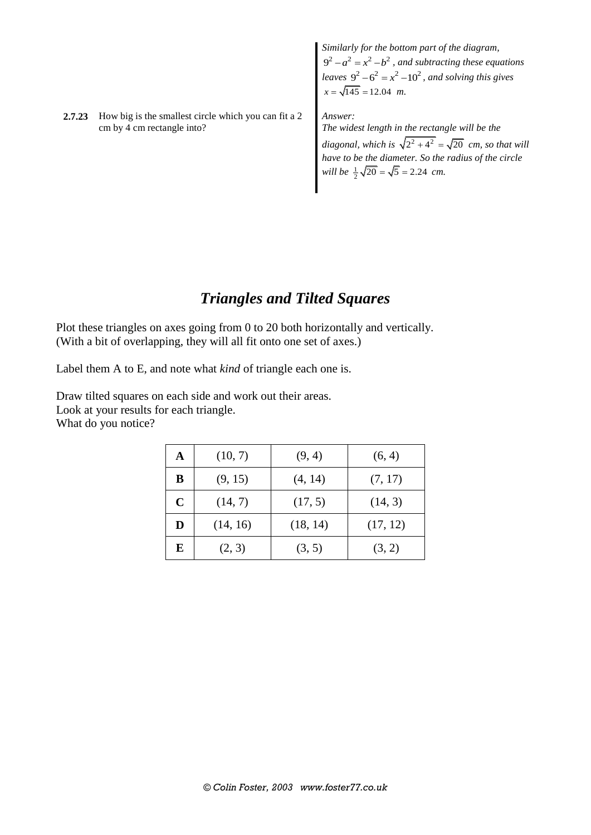**2.7.23** How big is the smallest circle which you can fit a 2 cm by 4 cm rectangle into?

*Similarly for the bottom part of the diagram,*  $9^2 - a^2 = x^2 - b^2$ , and subtracting these equations leaves  $9^2 - 6^2 = x^2 - 10^2$ , and solving this gives  $x = \sqrt{145} = 12.04$  *m*.

*Answer: The widest length in the rectangle will be the diagonal, which is*  $\sqrt{2^2 + 4^2} = \sqrt{20}$  *cm, so that will have to be the diameter. So the radius of the circle will be*  $\frac{1}{2}\sqrt{20} = \sqrt{5} = 2.24$  *cm.* 

## *Triangles and Tilted Squares*

Plot these triangles on axes going from 0 to 20 both horizontally and vertically. (With a bit of overlapping, they will all fit onto one set of axes.)

Label them A to E, and note what *kind* of triangle each one is.

Draw tilted squares on each side and work out their areas. Look at your results for each triangle. What do you notice?

| $\mathbf A$ | (10, 7)  | (9, 4)   | (6, 4)   |
|-------------|----------|----------|----------|
| B           | (9, 15)  | (4, 14)  | (7, 17)  |
| $\mathbf C$ | (14, 7)  | (17, 5)  | (14, 3)  |
| D           | (14, 16) | (18, 14) | (17, 12) |
| E           | (2, 3)   | (3, 5)   | (3, 2)   |